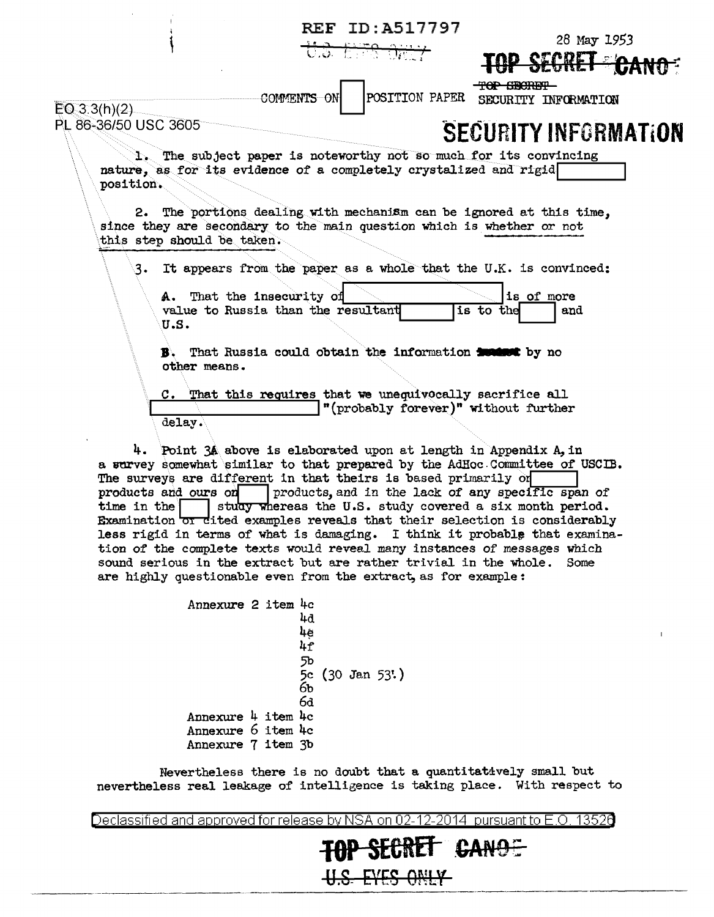|                                                |                                                                                                                                                                                                                                                                                                | <b>REF ID:A517797</b><br><del>U.S. EFS ORLY</del> | 28 May 1953                                       |
|------------------------------------------------|------------------------------------------------------------------------------------------------------------------------------------------------------------------------------------------------------------------------------------------------------------------------------------------------|---------------------------------------------------|---------------------------------------------------|
| EO(3.3(h)(2)<br>PL 86-36/50 USC 3605           | COMMENTS ON                                                                                                                                                                                                                                                                                    | POSITION PAPER                                    | <b>TOP GEORET</b><br>SECURITY INFORMATION         |
| position.                                      | 1. The subject paper is noteworthy not so much for its convincing<br>nature, as for its evidence of a completely crystalized and rigid<br>2. The portions dealing with mechanism can be ignored at this time,<br>since they are secondary to the main question which is whether or not         |                                                   | <b>SECURITY INFORMATION</b>                       |
| this step should be taken.<br>3.<br>U.S.<br>В. | It appears from the paper as a whole that the U.K. is convinced:<br>A. That the insecurity of<br>value to Russia than the resultant<br>That Russia could obtain the information <b>inclust</b> by no                                                                                           |                                                   | is of more<br>is to the<br>and                    |
| delay.                                         | other means.<br>C. That this requires that we unequivocally sacrifice all<br>4. Point 34 above is elaborated upon at length in Appendix A, in<br>a survey somewhat similar to that prepared by the AdHoc Committee of USCIB.<br>The surveys are different in that theirs is based primarily on | "(probably forever)" without further              |                                                   |
| products and ours on<br>time in the            | study whereas the U.S. study covered a six month period.                                                                                                                                                                                                                                       |                                                   | products, and in the lack of any specific span of |

Examination or dited examples reveals that their selection is considerably less rigid in terms of what is damaging. I think it probable that examination of the complete texts would reveal many instances of messages which sound serious in the extract but are rather trivial in the whole. Some are highly questionable even from the extract, as for example:

> Annexure 2 item 4c  $4d$ 4e  $\overline{l}_1$ 5b<br>5c (30 Jan 53')<br>6b  $6d$ Annexure 4 item 4c Annexure 6 item 4c Annexure 7 item 3b

Nevertheless there is no doubt that a quantitatively small but nevertheless real leakage of intelligence is taking place. With respect to

Declassified and approved for release by NSA on 02-12-2014 pursuant to E.O. 13526

**TOP SECRET CANOE** 

**H.S. EYES ONLY**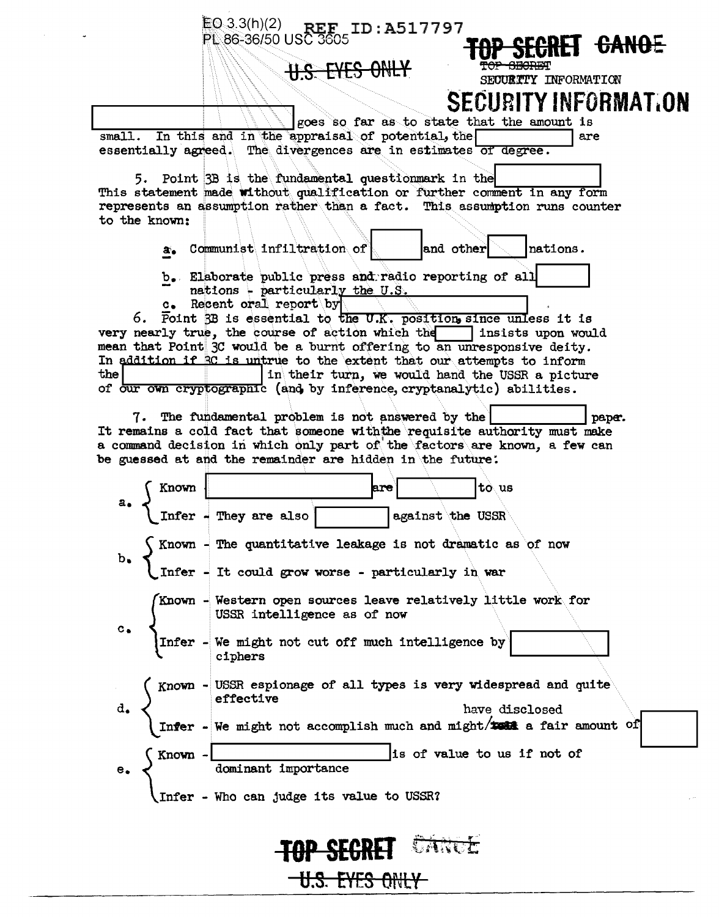$EQ_3(3h)(2)$ **REF** ID:A517797 PL 86-36/50 USC 3605 <del>rei Canoe</del> SECURTTY INFORMATION BITY INFORMATION SFCI goes so far as to state that the amount is small. In this and in the appraisal of potential, the are essentially agreed. The divergences are in estimates of degree. 5. Point 3B is the fundamental questionmark in the This statement made without qualification or further comment in any form represents an assumption rather than a fact. This assumption runs counter to the known: a. Communist infiltration of and other nations. b. Elaborate public press and radio reporting of all nations - particularly the U.S. Recent oral report by  $\mathbf{c}_{\bullet}$ 6. Foint 3B is essential to the U.K. position, since unless it is very nearly true, the course of action which the insists upon would mean that Point 3C would be a burnt offering to an unresponsive deity. In addition if RC is untrue to the extent that our attempts to inform the in their turn, we would hand the USSR a picture of our own cryptographic (and by inference, cryptanalytic) abilities. 7. The fundamental problem is not answered by the pape. It remains a cold fact that someone with the requisite authority must make a command decision in which only part of the factors are known, a few can be guessed at and the remainder are hidden in the future. Known |to us lare.  $\frac{1}{\text{Infer}}$  - They are also against the USSR Known  $-$  The quantitative leakage is not dramatic as of now Infer - It could grow worse - particularly in war Known - Western open sources leave relatively little work for USSR intelligence as of now We might not cut off much intelligence by Infer ciphers Known - USSR espionage of all types is very widespread and quite effective have disclosed Infer - We might not accomplish much and might/test a fair amount of is of value to us if not of Known · dominant importance Infer - Who can judge its value to USSR? TOP SEGRET <del>U.S. EYES ONLY</del>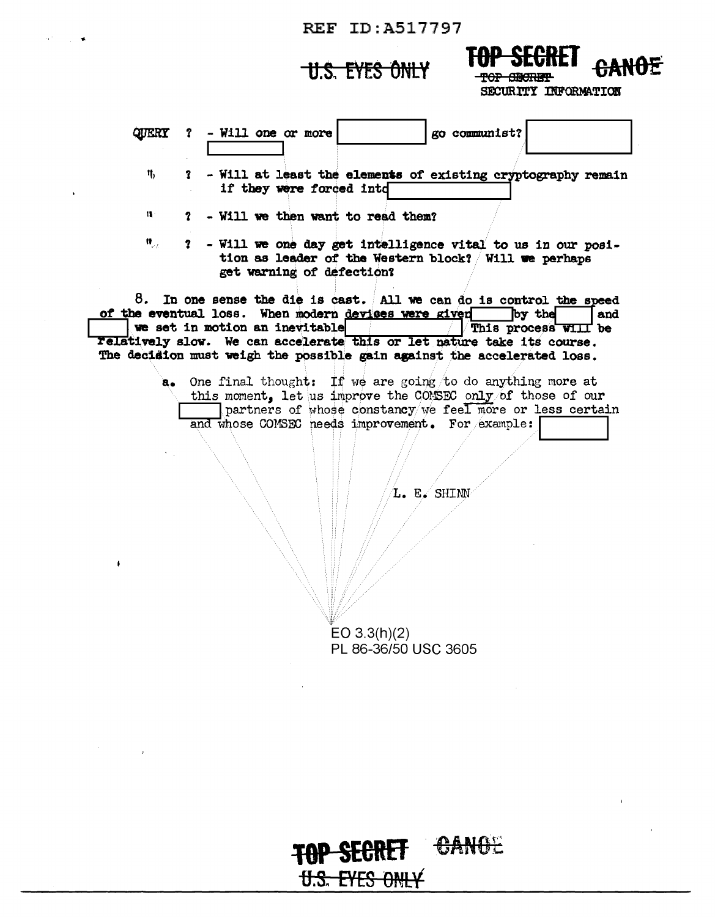## **REF ID:A517797**

## **U.S. EYES ONLY**

 $\mathcal{A}_{\bullet}(\mathcal{F})$  $\sim 10^{-4}$ 



SECURITY INFORMATION

| QUERT                | go communist?<br>- Will one or more<br>$\mathbf{r}$                                                                                                |
|----------------------|----------------------------------------------------------------------------------------------------------------------------------------------------|
| η,                   | ? - Will at least the elements of existing cryptography remain<br>if they were forced into                                                         |
| $\mathbf{H}$         | - Will we then want to read them?<br>$\mathbf 7$                                                                                                   |
| $\mathbf{u}_{\mu k}$ | ? - Will we one day get intelligence vital to us in our posi-<br>tion as leader of the Western block? Will we perhaps<br>get warning of defection? |
|                      | 8. In one sense the die is cast. All we can do is control the speed                                                                                |
|                      | of the eventual loss. When modern devises were given<br>by the<br>and<br>we set in motion an inevitable<br>This process WIII be                    |
|                      | Felatively slow. We can accelerate this or let nature take its course.<br>The decision must weigh the possible gain against the accelerated loss.  |
|                      |                                                                                                                                                    |
| $a_{\bullet}$        | One final thought: If we are going to do anything more at<br>this moment. Let us improve the COMSEC only of those of our                           |
|                      | partners of whose constancy we feel more or less certain                                                                                           |
|                      | and whose COMSEC needs improvement. For example:                                                                                                   |
|                      |                                                                                                                                                    |
|                      | L. E. SHINN                                                                                                                                        |
|                      |                                                                                                                                                    |
|                      |                                                                                                                                                    |

 $EO 3.3(h)(2)$ PL 86-36/50 USC 3605

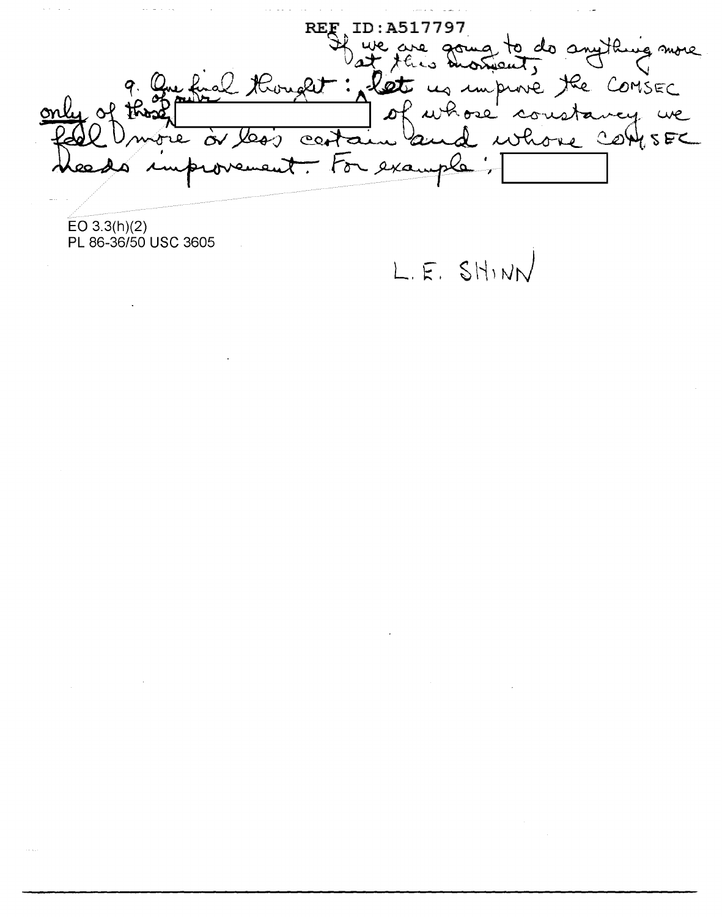REF ID: A517797<br>Hue are going to do anything more<br>elt : let us improve the COMSEC<br>antain and whose constancy we  $\sqrt{1-\sqrt{1-\lambda}}$ that Hought: let 9. re or less For example  $\chi$  . The set of  $\chi$ 

 $EO 3.3(h)(2)$ PL 86-36/50 USC 3605

 $\label{eq:2.1} \frac{1}{\sqrt{2\pi}}\int_{\mathbb{R}^3}\frac{1}{\sqrt{2\pi}}\left(\frac{1}{\sqrt{2\pi}}\right)^2\frac{1}{\sqrt{2\pi}}\int_{\mathbb{R}^3}\frac{1}{\sqrt{2\pi}}\frac{1}{\sqrt{2\pi}}\frac{1}{\sqrt{2\pi}}\frac{1}{\sqrt{2\pi}}\frac{1}{\sqrt{2\pi}}\frac{1}{\sqrt{2\pi}}\frac{1}{\sqrt{2\pi}}\frac{1}{\sqrt{2\pi}}\frac{1}{\sqrt{2\pi}}\frac{1}{\sqrt{2\pi}}\frac{1}{\sqrt{2\pi}}\frac{$ 

L.E. SHINN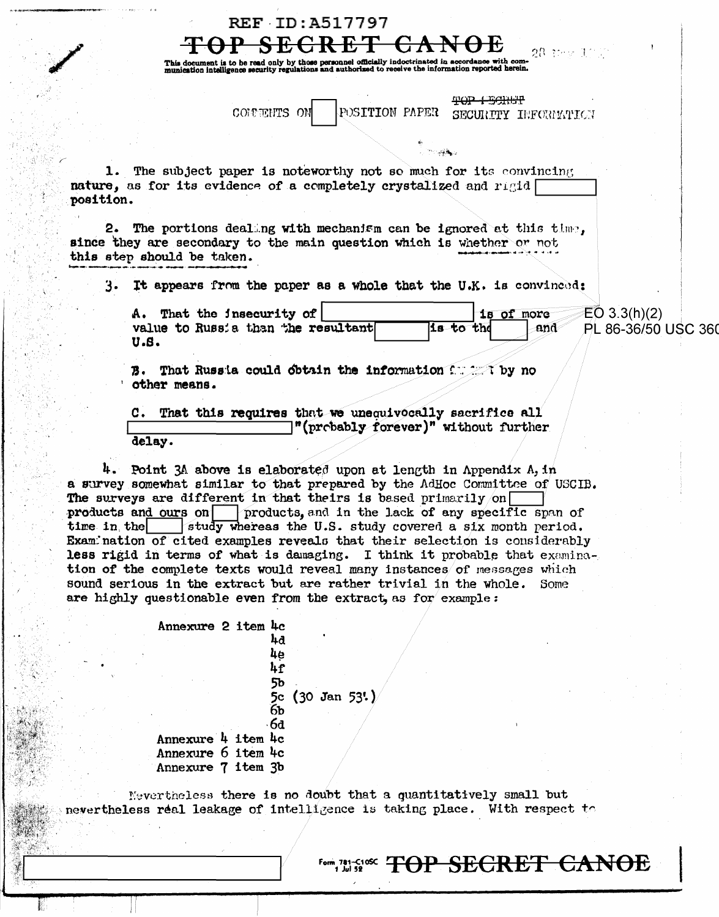|             | <b>REF ID:A517797</b>                                                                                                                                                                                                                                                                                                                                                                                                                                                                                                                                                                                                                                                                                                                             |
|-------------|---------------------------------------------------------------------------------------------------------------------------------------------------------------------------------------------------------------------------------------------------------------------------------------------------------------------------------------------------------------------------------------------------------------------------------------------------------------------------------------------------------------------------------------------------------------------------------------------------------------------------------------------------------------------------------------------------------------------------------------------------|
|             | 28 tev 10 (                                                                                                                                                                                                                                                                                                                                                                                                                                                                                                                                                                                                                                                                                                                                       |
|             | This document is to be read only by those personnel officially indoctrinated in accordance with com-<br>munication intelligence security regulations and authorized to receive the information reported herein.                                                                                                                                                                                                                                                                                                                                                                                                                                                                                                                                   |
|             |                                                                                                                                                                                                                                                                                                                                                                                                                                                                                                                                                                                                                                                                                                                                                   |
|             | <del>TOP LECTUR</del><br>POSITION PAPER<br>COMMENTS ON<br>SECURITY INFORMATION                                                                                                                                                                                                                                                                                                                                                                                                                                                                                                                                                                                                                                                                    |
|             |                                                                                                                                                                                                                                                                                                                                                                                                                                                                                                                                                                                                                                                                                                                                                   |
|             | $\frac{1}{\sqrt{2}}$ . We see that $\frac{1}{\sqrt{2}}$                                                                                                                                                                                                                                                                                                                                                                                                                                                                                                                                                                                                                                                                                           |
| position.   | 1. The subject paper is noteworthy not so much for its convincing<br>nature, as for its evidence of a completely crystalized and rigid                                                                                                                                                                                                                                                                                                                                                                                                                                                                                                                                                                                                            |
|             | 2. The portions dealing with mechanism can be ignored at this time,<br>since they are secondary to the main question which is whether or not<br>this step should be taken.                                                                                                                                                                                                                                                                                                                                                                                                                                                                                                                                                                        |
| 3.          | It appears from the paper as a whole that the U.K. is convinced:                                                                                                                                                                                                                                                                                                                                                                                                                                                                                                                                                                                                                                                                                  |
|             | A. That the insecurity of<br>EO 3.3(h)(2)<br>1s of more<br>value to Russia than the resultant<br>is to the<br>PL 86-36/50 USC 360<br>and<br>U.S.                                                                                                                                                                                                                                                                                                                                                                                                                                                                                                                                                                                                  |
|             | B. That Russia could obtain the information for the no<br>other means.                                                                                                                                                                                                                                                                                                                                                                                                                                                                                                                                                                                                                                                                            |
|             | C. That this requires that we unequivocally sacrifice all<br>"(probably forever)" without further                                                                                                                                                                                                                                                                                                                                                                                                                                                                                                                                                                                                                                                 |
|             | delay.                                                                                                                                                                                                                                                                                                                                                                                                                                                                                                                                                                                                                                                                                                                                            |
| time in the | 4. Point 3A above is elaborated upon at length in Appendix A, in<br>a survey somewhat similar to that prepared by the AdHoc Committee of USCIB.<br>The surveys are different in that theirs is based primarily on<br>products and ours on<br>products, and in the lack of any specific span of<br>study whereas the U.S. study covered a six month period.<br>Examination of cited examples reveals that their selection is considerably<br>less rigid in terms of what is damaging. I think it probable that examina-<br>tion of the complete texts would reveal many instances of messages which<br>sound serious in the extract but are rather trivial in the whole.<br>Some<br>are highly questionable even from the extract, as for example: |
|             |                                                                                                                                                                                                                                                                                                                                                                                                                                                                                                                                                                                                                                                                                                                                                   |
|             | Annexure 2 item 4c<br>44<br>4e                                                                                                                                                                                                                                                                                                                                                                                                                                                                                                                                                                                                                                                                                                                    |
|             | 4f                                                                                                                                                                                                                                                                                                                                                                                                                                                                                                                                                                                                                                                                                                                                                |
|             | 56<br>5c<br>$(30 \text{ Jan } 53!)$<br>6 <sub>b</sub><br>6d                                                                                                                                                                                                                                                                                                                                                                                                                                                                                                                                                                                                                                                                                       |
|             | Annexure 4 item 4c                                                                                                                                                                                                                                                                                                                                                                                                                                                                                                                                                                                                                                                                                                                                |
|             | Annexure 6 item 4c<br>Annexure 7 item 3b                                                                                                                                                                                                                                                                                                                                                                                                                                                                                                                                                                                                                                                                                                          |
|             |                                                                                                                                                                                                                                                                                                                                                                                                                                                                                                                                                                                                                                                                                                                                                   |

Mevertheless there is no doubt that a quantitatively small but nevertheless real leakage of intelligence is taking place. With respect to

È

 $\lambda$ 

Form 781-510K TOP SECRET CANOE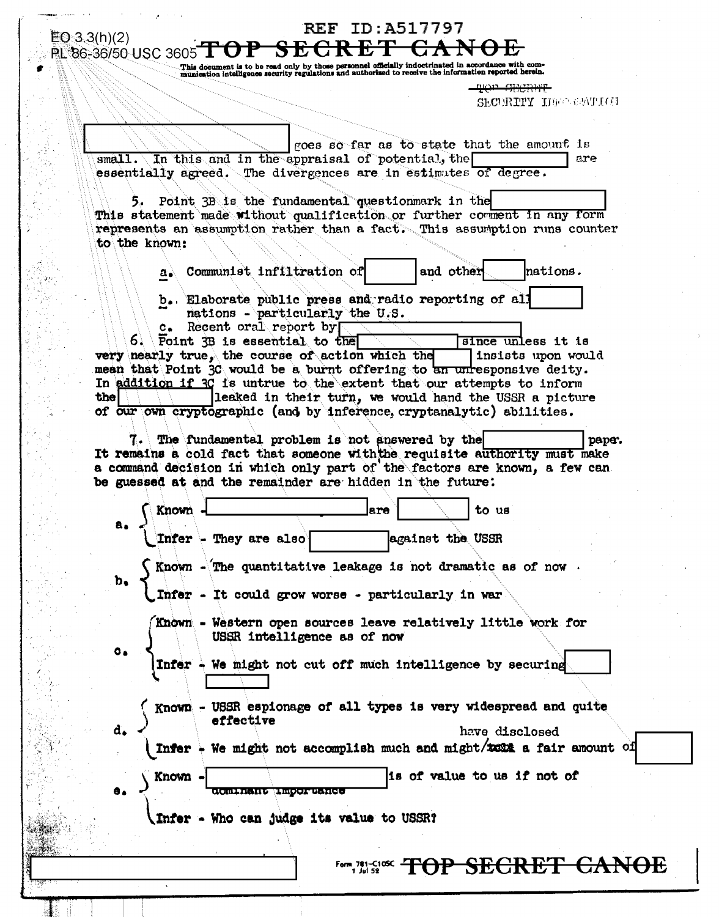| This document is to be read only by those personnel officially indoctrinated in accordance with com-<br>munication intelligence security regulations and authorized to receive the information reported herein.                                                                                             |
|-------------------------------------------------------------------------------------------------------------------------------------------------------------------------------------------------------------------------------------------------------------------------------------------------------------|
| <del>TOP SECRIT</del><br>SECURITY IDENGATION                                                                                                                                                                                                                                                                |
|                                                                                                                                                                                                                                                                                                             |
| goes so far as to state that the amount is                                                                                                                                                                                                                                                                  |
| small. In this and in the appraisal of potential, the<br>are<br>essentially agreed. The divergences are in estimates of degree.                                                                                                                                                                             |
| Point 3B is the fundamental questionmark in the<br>י כ<br>This statement made without qualification or further comment in any form<br>represents an assumption rather than a fact. This assumption runs counter<br>to the known:                                                                            |
| Communist infiltration of<br>nations.<br>and other<br>a.                                                                                                                                                                                                                                                    |
| b. Elaborate public press and radio reporting of all<br>nations - particularly the U.S.                                                                                                                                                                                                                     |
| c. Recent oral report by<br>Foint 3B is essential to the<br>since unless it is<br>very nearly true, the course of action which the<br>insists upon would<br>mean that Point 30 would be a burnt offering to an unresponsive deity.<br>In addition if 3C is untrue to the extent that our attempts to inform |
| leaked in their turn, we would hand the USSR a picture<br>the  <br>of our own cryptographic (and by inference, cryptanalytic) abilities.                                                                                                                                                                    |
| a command decision in which only part of the factors are known, a few can<br>be guessed at and the remainder are hidden in the future:<br>Known<br>to us<br>lare<br>a.                                                                                                                                      |
| Infer - They are also<br>against the USSR                                                                                                                                                                                                                                                                   |
| Known - The quantitative leakage is not dramatic as of now<br>b,<br>Infer - It could grow worse - particularly in war                                                                                                                                                                                       |
| Known - Western open sources leave relatively little work for<br>USSR intelligence as of now                                                                                                                                                                                                                |
| $\bullet$<br>Infer - We might not cut off much intelligence by securing                                                                                                                                                                                                                                     |
| Known - USSR espionage of all types is very widespread and quite                                                                                                                                                                                                                                            |
| effective<br>d.<br>have disclosed                                                                                                                                                                                                                                                                           |
| Infer - We might not accomplish much and might/tont a fair amount of                                                                                                                                                                                                                                        |
| is of value to us if not of<br><b>Known</b><br>$\bullet$ .<br><b>COUTURNA TEOOL ASUGA</b>                                                                                                                                                                                                                   |
|                                                                                                                                                                                                                                                                                                             |
| <b>\Infer - Who can judge its value to USSR?</b>                                                                                                                                                                                                                                                            |